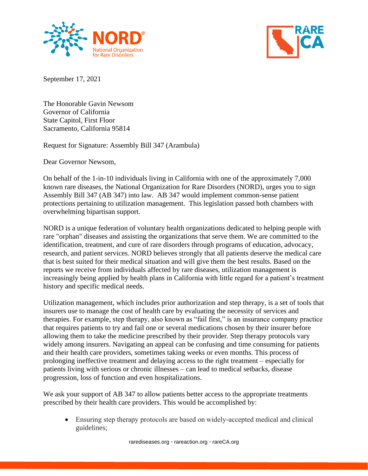



September 17, 2021

The Honorable Gavin Newsom Governor of California State Capitol, First Floor Sacramento, California 95814

Request for Signature: Assembly Bill 347 (Arambula)

Dear Governor Newsom,

On behalf of the 1-in-10 individuals living in California with one of the approximately 7,000 known rare diseases, the National Organization for Rare Disorders (NORD), urges you to sign Assembly Bill 347 (AB 347) into law. AB 347 would implement common-sense patient protections pertaining to utilization management. This legislation passed both chambers with overwhelming bipartisan support.

NORD is a unique federation of voluntary health organizations dedicated to helping people with rare "orphan" diseases and assisting the organizations that serve them. We are committed to the identification, treatment, and cure of rare disorders through programs of education, advocacy, research, and patient services. NORD believes strongly that all patients deserve the medical care that is best suited for their medical situation and will give them the best results. Based on the reports we receive from individuals affected by rare diseases, utilization management is increasingly being applied by health plans in California with little regard for a patient's treatment history and specific medical needs.

Utilization management, which includes prior authorization and step therapy, is a set of tools that insurers use to manage the cost of health care by evaluating the necessity of services and therapies. For example, step therapy, also known as "fail first," is an insurance company practice that requires patients to try and fail one or several medications chosen by their insurer before allowing them to take the medicine prescribed by their provider. Step therapy protocols vary widely among insurers. Navigating an appeal can be confusing and time consuming for patients and their health care providers, sometimes taking weeks or even months. This process of prolonging ineffective treatment and delaying access to the right treatment – especially for patients living with serious or chronic illnesses – can lead to medical setbacks, disease progression, loss of function and even hospitalizations.

We ask your support of AB 347 to allow patients better access to the appropriate treatments prescribed by their health care providers. This would be accomplished by:

• Ensuring step therapy protocols are based on widely-accepted medical and clinical guidelines;

rarediseases.org • rareaction.org • rareCA.org